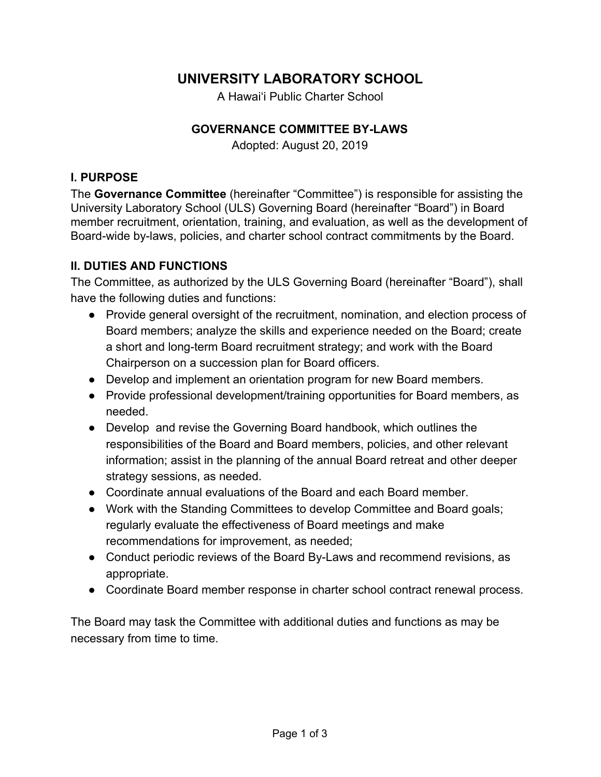# **UNIVERSITY LABORATORY SCHOOL**

A Hawai'i Public Charter School

#### **GOVERNANCE COMMITTEE BY-LAWS**

Adopted: August 20, 2019

#### **I. PURPOSE**

The **Governance Committee** (hereinafter "Committee") is responsible for assisting the University Laboratory School (ULS) Governing Board (hereinafter "Board") in Board member recruitment, orientation, training, and evaluation, as well as the development of Board-wide by-laws, policies, and charter school contract commitments by the Board.

#### **II. DUTIES AND FUNCTIONS**

The Committee, as authorized by the ULS Governing Board (hereinafter "Board"), shall have the following duties and functions:

- Provide general oversight of the recruitment, nomination, and election process of Board members; analyze the skills and experience needed on the Board; create a short and long-term Board recruitment strategy; and work with the Board Chairperson on a succession plan for Board officers.
- Develop and implement an orientation program for new Board members.
- Provide professional development/training opportunities for Board members, as needed.
- Develop and revise the Governing Board handbook, which outlines the responsibilities of the Board and Board members, policies, and other relevant information; assist in the planning of the annual Board retreat and other deeper strategy sessions, as needed.
- Coordinate annual evaluations of the Board and each Board member.
- Work with the Standing Committees to develop Committee and Board goals; regularly evaluate the effectiveness of Board meetings and make recommendations for improvement, as needed;
- Conduct periodic reviews of the Board By-Laws and recommend revisions, as appropriate.
- Coordinate Board member response in charter school contract renewal process.

The Board may task the Committee with additional duties and functions as may be necessary from time to time.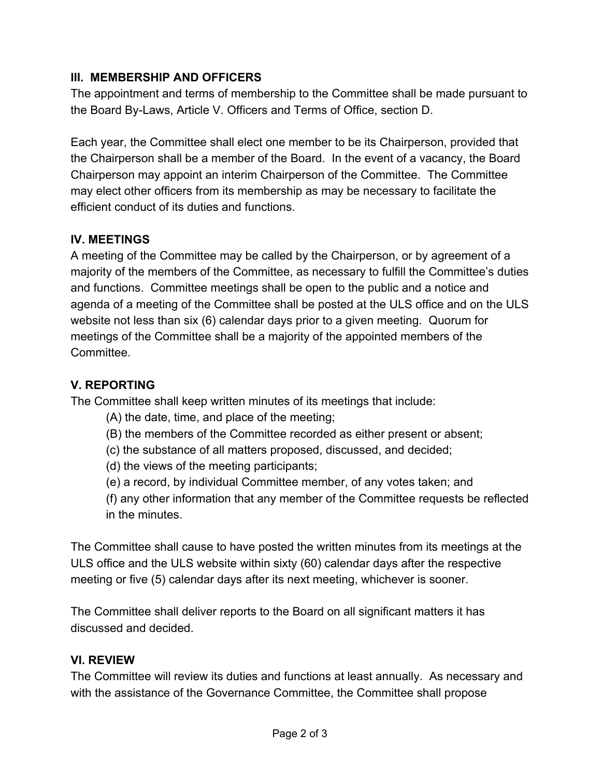## **III. MEMBERSHIP AND OFFICERS**

The appointment and terms of membership to the Committee shall be made pursuant to the Board By-Laws, Article V. Officers and Terms of Office, section D.

Each year, the Committee shall elect one member to be its Chairperson, provided that the Chairperson shall be a member of the Board. In the event of a vacancy, the Board Chairperson may appoint an interim Chairperson of the Committee. The Committee may elect other officers from its membership as may be necessary to facilitate the efficient conduct of its duties and functions.

## **IV. MEETINGS**

A meeting of the Committee may be called by the Chairperson, or by agreement of a majority of the members of the Committee, as necessary to fulfill the Committee's duties and functions. Committee meetings shall be open to the public and a notice and agenda of a meeting of the Committee shall be posted at the ULS office and on the ULS website not less than six (6) calendar days prior to a given meeting. Quorum for meetings of the Committee shall be a majority of the appointed members of the **Committee.** 

# **V. REPORTING**

The Committee shall keep written minutes of its meetings that include:

- (A) the date, time, and place of the meeting;
- (B) the members of the Committee recorded as either present or absent;
- (c) the substance of all matters proposed, discussed, and decided;
- (d) the views of the meeting participants;
- (e) a record, by individual Committee member, of any votes taken; and
- (f) any other information that any member of the Committee requests be reflected in the minutes.

The Committee shall cause to have posted the written minutes from its meetings at the ULS office and the ULS website within sixty (60) calendar days after the respective meeting or five (5) calendar days after its next meeting, whichever is sooner.

The Committee shall deliver reports to the Board on all significant matters it has discussed and decided.

## **VI. REVIEW**

The Committee will review its duties and functions at least annually. As necessary and with the assistance of the Governance Committee, the Committee shall propose